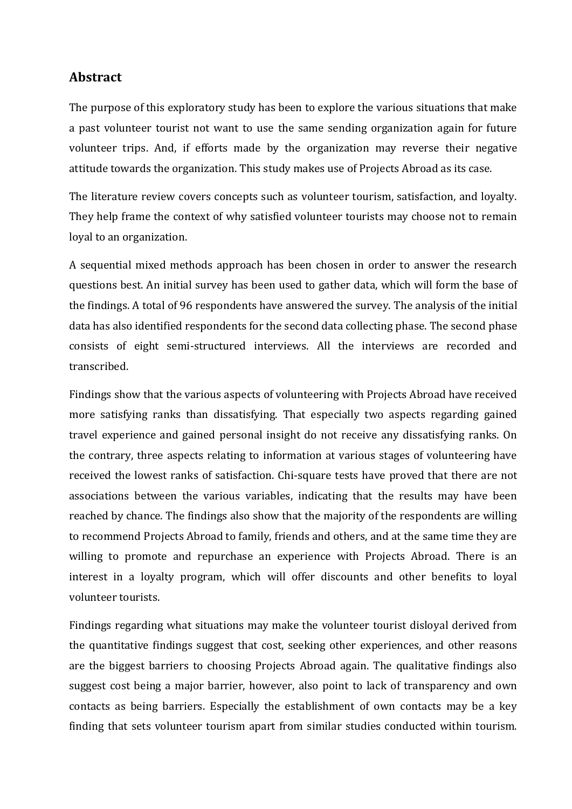## **Abstract**

The purpose of this exploratory study has been to explore the various situations that make a past volunteer tourist not want to use the same sending organization again for future volunteer trips. And, if efforts made by the organization may reverse their negative attitude towards the organization. This study makes use of Projects Abroad as its case.

The literature review covers concepts such as volunteer tourism, satisfaction, and loyalty. They help frame the context of why satisfied volunteer tourists may choose not to remain loyal to an organization.

A sequential mixed methods approach has been chosen in order to answer the research questions best. An initial survey has been used to gather data, which will form the base of the findings. A total of 96 respondents have answered the survey. The analysis of the initial data has also identified respondents for the second data collecting phase. The second phase consists of eight semi-structured interviews. All the interviews are recorded and transcribed.

Findings show that the various aspects of volunteering with Projects Abroad have received more satisfying ranks than dissatisfying. That especially two aspects regarding gained travel experience and gained personal insight do not receive any dissatisfying ranks. On the contrary, three aspects relating to information at various stages of volunteering have received the lowest ranks of satisfaction. Chi-square tests have proved that there are not associations between the various variables, indicating that the results may have been reached by chance. The findings also show that the majority of the respondents are willing to recommend Projects Abroad to family, friends and others, and at the same time they are willing to promote and repurchase an experience with Projects Abroad. There is an interest in a loyalty program, which will offer discounts and other benefits to loyal volunteer tourists.

Findings regarding what situations may make the volunteer tourist disloyal derived from the quantitative findings suggest that cost, seeking other experiences, and other reasons are the biggest barriers to choosing Projects Abroad again. The qualitative findings also suggest cost being a major barrier, however, also point to lack of transparency and own contacts as being barriers. Especially the establishment of own contacts may be a key finding that sets volunteer tourism apart from similar studies conducted within tourism.